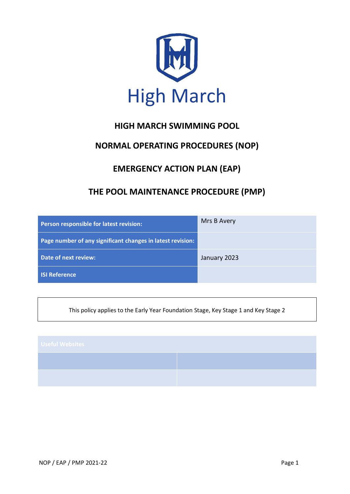

# **HIGH MARCH SWIMMING POOL**

# **NORMAL OPERATING PROCEDURES (NOP)**

# **EMERGENCY ACTION PLAN (EAP)**

# **THE POOL MAINTENANCE PROCEDURE (PMP)**

| Person responsible for latest revision:                    | Mrs B Avery  |
|------------------------------------------------------------|--------------|
| Page number of any significant changes in latest revision: |              |
| Date of next review:                                       | January 2023 |
| <b>ISI Reference</b>                                       |              |

This policy applies to the Early Year Foundation Stage, Key Stage 1 and Key Stage 2

| <b>Useful Websites</b> |  |
|------------------------|--|
|                        |  |
|                        |  |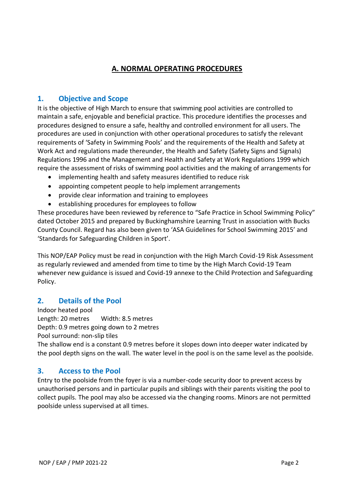# **A. NORMAL OPERATING PROCEDURES**

## **1. Objective and Scope**

It is the objective of High March to ensure that swimming pool activities are controlled to maintain a safe, enjoyable and beneficial practice. This procedure identifies the processes and procedures designed to ensure a safe, healthy and controlled environment for all users. The procedures are used in conjunction with other operational procedures to satisfy the relevant requirements of 'Safety in Swimming Pools' and the requirements of the Health and Safety at Work Act and regulations made thereunder, the Health and Safety (Safety Signs and Signals) Regulations 1996 and the Management and Health and Safety at Work Regulations 1999 which require the assessment of risks of swimming pool activities and the making of arrangements for

- implementing health and safety measures identified to reduce risk
- appointing competent people to help implement arrangements
- provide clear information and training to employees
- establishing procedures for employees to follow

These procedures have been reviewed by reference to "Safe Practice in School Swimming Policy" dated October 2015 and prepared by Buckinghamshire Learning Trust in association with Bucks County Council. Regard has also been given to 'ASA Guidelines for School Swimming 2015' and 'Standards for Safeguarding Children in Sport'.

This NOP/EAP Policy must be read in conjunction with the High March Covid-19 Risk Assessment as regularly reviewed and amended from time to time by the High March Covid-19 Team whenever new guidance is issued and Covid-19 annexe to the Child Protection and Safeguarding Policy.

## **2. Details of the Pool**

Indoor heated pool Length: 20 metres Width: 8.5 metres Depth: 0.9 metres going down to 2 metres Pool surround: non-slip tiles

The shallow end is a constant 0.9 metres before it slopes down into deeper water indicated by the pool depth signs on the wall. The water level in the pool is on the same level as the poolside.

# **3. Access to the Pool**

Entry to the poolside from the foyer is via a number-code security door to prevent access by unauthorised persons and in particular pupils and siblings with their parents visiting the pool to collect pupils. The pool may also be accessed via the changing rooms. Minors are not permitted poolside unless supervised at all times.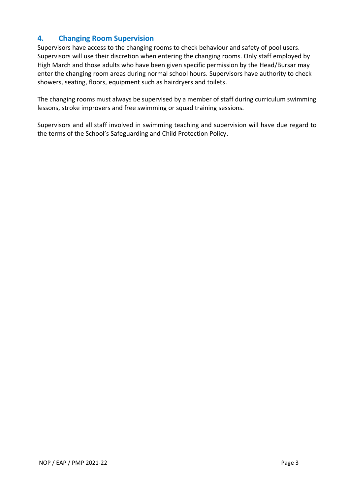# **4. Changing Room Supervision**

Supervisors have access to the changing rooms to check behaviour and safety of pool users. Supervisors will use their discretion when entering the changing rooms. Only staff employed by High March and those adults who have been given specific permission by the Head/Bursar may enter the changing room areas during normal school hours. Supervisors have authority to check showers, seating, floors, equipment such as hairdryers and toilets.

The changing rooms must always be supervised by a member of staff during curriculum swimming lessons, stroke improvers and free swimming or squad training sessions.

Supervisors and all staff involved in swimming teaching and supervision will have due regard to the terms of the School's Safeguarding and Child Protection Policy.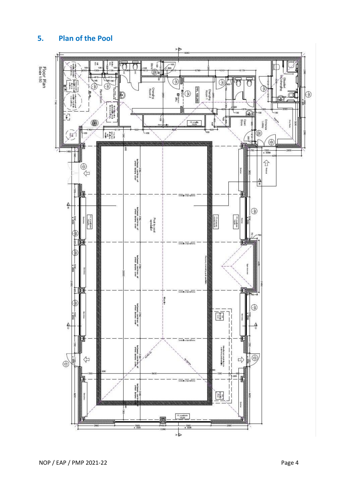

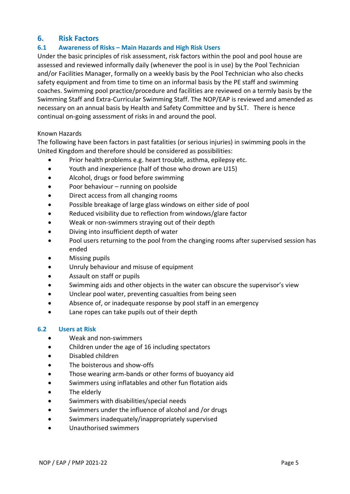## **6. Risk Factors**

#### **6.1 Awareness of Risks – Main Hazards and High Risk Users**

Under the basic principles of risk assessment, risk factors within the pool and pool house are assessed and reviewed informally daily (whenever the pool is in use) by the Pool Technician and/or Facilities Manager, formally on a weekly basis by the Pool Technician who also checks safety equipment and from time to time on an informal basis by the PE staff and swimming coaches. Swimming pool practice/procedure and facilities are reviewed on a termly basis by the Swimming Staff and Extra-Curricular Swimming Staff. The NOP/EAP is reviewed and amended as necessary on an annual basis by Health and Safety Committee and by SLT. There is hence continual on-going assessment of risks in and around the pool.

#### Known Hazards

The following have been factors in past fatalities (or serious injuries) in swimming pools in the United Kingdom and therefore should be considered as possibilities:

- Prior health problems e.g. heart trouble, asthma, epilepsy etc.
- Youth and inexperience (half of those who drown are U15)
- Alcohol, drugs or food before swimming
- Poor behaviour running on poolside
- Direct access from all changing rooms
- Possible breakage of large glass windows on either side of pool
- Reduced visibility due to reflection from windows/glare factor
- Weak or non-swimmers straying out of their depth
- Diving into insufficient depth of water
- Pool users returning to the pool from the changing rooms after supervised session has ended
- Missing pupils
- Unruly behaviour and misuse of equipment
- Assault on staff or pupils
- Swimming aids and other objects in the water can obscure the supervisor's view
- Unclear pool water, preventing casualties from being seen
- Absence of, or inadequate response by pool staff in an emergency
- Lane ropes can take pupils out of their depth

#### **6.2 Users at Risk**

- Weak and non-swimmers
- Children under the age of 16 including spectators
- Disabled children
- The boisterous and show-offs
- Those wearing arm-bands or other forms of buoyancy aid
- Swimmers using inflatables and other fun flotation aids
- The elderly
- Swimmers with disabilities/special needs
- Swimmers under the influence of alcohol and /or drugs
- Swimmers inadequately/inappropriately supervised
- Unauthorised swimmers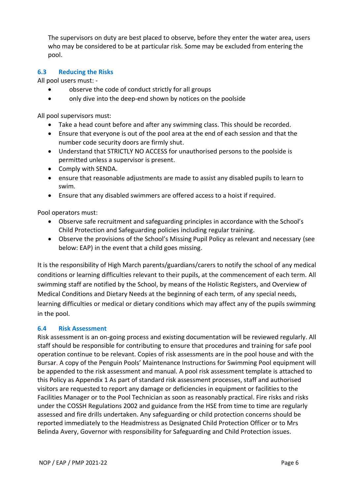The supervisors on duty are best placed to observe, before they enter the water area, users who may be considered to be at particular risk. Some may be excluded from entering the pool.

#### **6.3 Reducing the Risks**

All pool users must: -

- observe the code of conduct strictly for all groups
- only dive into the deep-end shown by notices on the poolside

All pool supervisors must:

- Take a head count before and after any swimming class. This should be recorded.
- Ensure that everyone is out of the pool area at the end of each session and that the number code security doors are firmly shut.
- Understand that STRICTLY NO ACCESS for unauthorised persons to the poolside is permitted unless a supervisor is present.
- Comply with SENDA.
- ensure that reasonable adjustments are made to assist any disabled pupils to learn to swim.
- Ensure that any disabled swimmers are offered access to a hoist if required.

Pool operators must:

- Observe safe recruitment and safeguarding principles in accordance with the School's Child Protection and Safeguarding policies including regular training.
- Observe the provisions of the School's Missing Pupil Policy as relevant and necessary (see below: EAP) in the event that a child goes missing.

It is the responsibility of High March parents/guardians/carers to notify the school of any medical conditions or learning difficulties relevant to their pupils, at the commencement of each term. All swimming staff are notified by the School, by means of the Holistic Registers, and Overview of Medical Conditions and Dietary Needs at the beginning of each term, of any special needs, learning difficulties or medical or dietary conditions which may affect any of the pupils swimming in the pool.

#### **6.4 Risk Assessment**

Risk assessment is an on-going process and existing documentation will be reviewed regularly. All staff should be responsible for contributing to ensure that procedures and training for safe pool operation continue to be relevant. Copies of risk assessments are in the pool house and with the Bursar. A copy of the Penguin Pools' Maintenance Instructions for Swimming Pool equipment will be appended to the risk assessment and manual. A pool risk assessment template is attached to this Policy as Appendix 1 As part of standard risk assessment processes, staff and authorised visitors are requested to report any damage or deficiencies in equipment or facilities to the Facilities Manager or to the Pool Technician as soon as reasonably practical. Fire risks and risks under the COSSH Regulations 2002 and guidance from the HSE from time to time are regularly assessed and fire drills undertaken. Any safeguarding or child protection concerns should be reported immediately to the Headmistress as Designated Child Protection Officer or to Mrs Belinda Avery, Governor with responsibility for Safeguarding and Child Protection issues.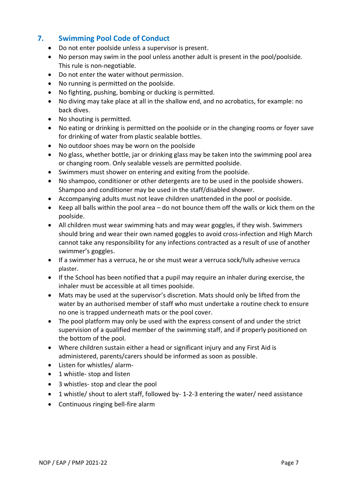# **7. Swimming Pool Code of Conduct**

- Do not enter poolside unless a supervisor is present.
- No person may swim in the pool unless another adult is present in the pool/poolside. This rule is non-negotiable.
- Do not enter the water without permission.
- No running is permitted on the poolside.
- No fighting, pushing, bombing or ducking is permitted.
- No diving may take place at all in the shallow end, and no acrobatics, for example: no back dives.
- No shouting is permitted.
- No eating or drinking is permitted on the poolside or in the changing rooms or foyer save for drinking of water from plastic sealable bottles.
- No outdoor shoes may be worn on the poolside
- No glass, whether bottle, jar or drinking glass may be taken into the swimming pool area or changing room. Only sealable vessels are permitted poolside.
- Swimmers must shower on entering and exiting from the poolside.
- No shampoo, conditioner or other detergents are to be used in the poolside showers. Shampoo and conditioner may be used in the staff/disabled shower.
- Accompanying adults must not leave children unattended in the pool or poolside.
- Keep all balls within the pool area do not bounce them off the walls or kick them on the poolside.
- All children must wear swimming hats and may wear goggles, if they wish. Swimmers should bring and wear their own named goggles to avoid cross-infection and High March cannot take any responsibility for any infections contracted as a result of use of another swimmer's goggles.
- If a swimmer has a verruca, he or she must wear a verruca sock/fully adhesive verruca plaster.
- If the School has been notified that a pupil may require an inhaler during exercise, the inhaler must be accessible at all times poolside.
- Mats may be used at the supervisor's discretion. Mats should only be lifted from the water by an authorised member of staff who must undertake a routine check to ensure no one is trapped underneath mats or the pool cover.
- The pool platform may only be used with the express consent of and under the strict supervision of a qualified member of the swimming staff, and if properly positioned on the bottom of the pool.
- Where children sustain either a head or significant injury and any First Aid is administered, parents/carers should be informed as soon as possible.
- Listen for whistles/ alarm-
- 1 whistle- stop and listen
- 3 whistles- stop and clear the pool
- 1 whistle/ shout to alert staff, followed by- 1-2-3 entering the water/ need assistance
- Continuous ringing bell-fire alarm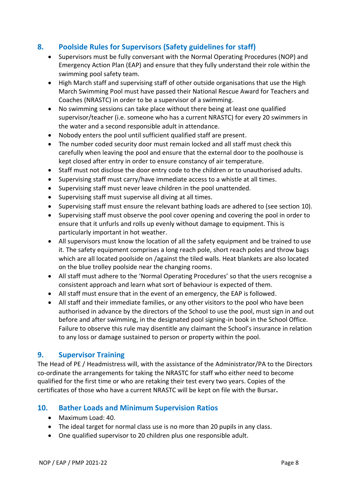# **8. Poolside Rules for Supervisors (Safety guidelines for staff)**

- Supervisors must be fully conversant with the Normal Operating Procedures (NOP) and Emergency Action Plan (EAP) and ensure that they fully understand their role within the swimming pool safety team.
- High March staff and supervising staff of other outside organisations that use the High March Swimming Pool must have passed their National Rescue Award for Teachers and Coaches (NRASTC) in order to be a supervisor of a swimming.
- No swimming sessions can take place without there being at least one qualified supervisor/teacher (i.e. someone who has a current NRASTC) for every 20 swimmers in the water and a second responsible adult in attendance.
- Nobody enters the pool until sufficient qualified staff are present.
- The number coded security door must remain locked and all staff must check this carefully when leaving the pool and ensure that the external door to the poolhouse is kept closed after entry in order to ensure constancy of air temperature.
- Staff must not disclose the door entry code to the children or to unauthorised adults.
- Supervising staff must carry/have immediate access to a whistle at all times.
- Supervising staff must never leave children in the pool unattended.
- Supervising staff must supervise all diving at all times.
- Supervising staff must ensure the relevant bathing loads are adhered to (see section 10).
- Supervising staff must observe the pool cover opening and covering the pool in order to ensure that it unfurls and rolls up evenly without damage to equipment. This is particularly important in hot weather.
- All supervisors must know the location of all the safety equipment and be trained to use it. The safety equipment comprises a long reach pole, short reach poles and throw bags which are all located poolside on /against the tiled walls. Heat blankets are also located on the blue trolley poolside near the changing rooms.
- All staff must adhere to the 'Normal Operating Procedures' so that the users recognise a consistent approach and learn what sort of behaviour is expected of them.
- All staff must ensure that in the event of an emergency, the EAP is followed.
- All staff and their immediate families, or any other visitors to the pool who have been authorised in advance by the directors of the School to use the pool, must sign in and out before and after swimming, in the designated pool signing-in book in the School Office. Failure to observe this rule may disentitle any claimant the School's insurance in relation to any loss or damage sustained to person or property within the pool.

## **9. Supervisor Training**

The Head of PE / Headmistress will, with the assistance of the Administrator/PA to the Directors co-ordinate the arrangements for taking the NRASTC for staff who either need to become qualified for the first time or who are retaking their test every two years. Copies of the certificates of those who have a current NRASTC will be kept on file with the Bursar**.**

## **10. Bather Loads and Minimum Supervision Ratios**

- Maximum Load: 40.
- The ideal target for normal class use is no more than 20 pupils in any class.
- One qualified supervisor to 20 children plus one responsible adult.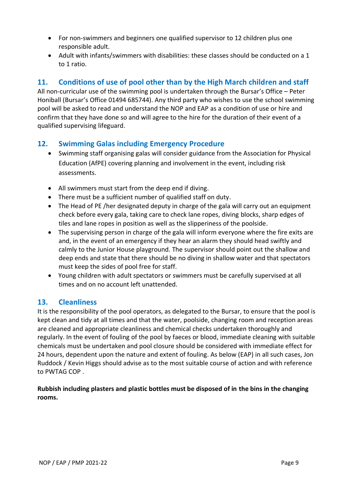- For non-swimmers and beginners one qualified supervisor to 12 children plus one responsible adult.
- Adult with infants/swimmers with disabilities: these classes should be conducted on a 1 to 1 ratio.

# **11. Conditions of use of pool other than by the High March children and staff**

All non-curricular use of the swimming pool is undertaken through the Bursar's Office – Peter Honiball (Bursar's Office 01494 685744). Any third party who wishes to use the school swimming pool will be asked to read and understand the NOP and EAP as a condition of use or hire and confirm that they have done so and will agree to the hire for the duration of their event of a qualified supervising lifeguard.

## **12. Swimming Galas including Emergency Procedure**

- Swimming staff organising galas will consider guidance from the Association for Physical Education (AfPE) covering planning and involvement in the event, including risk assessments.
- All swimmers must start from the deep end if diving.
- There must be a sufficient number of qualified staff on duty.
- The Head of PE /her designated deputy in charge of the gala will carry out an equipment check before every gala, taking care to check lane ropes, diving blocks, sharp edges of tiles and lane ropes in position as well as the slipperiness of the poolside.
- The supervising person in charge of the gala will inform everyone where the fire exits are and, in the event of an emergency if they hear an alarm they should head swiftly and calmly to the Junior House playground. The supervisor should point out the shallow and deep ends and state that there should be no diving in shallow water and that spectators must keep the sides of pool free for staff.
- Young children with adult spectators or swimmers must be carefully supervised at all times and on no account left unattended.

## **13. Cleanliness**

It is the responsibility of the pool operators, as delegated to the Bursar, to ensure that the pool is kept clean and tidy at all times and that the water, poolside, changing room and reception areas are cleaned and appropriate cleanliness and chemical checks undertaken thoroughly and regularly. In the event of fouling of the pool by faeces or blood, immediate cleaning with suitable chemicals must be undertaken and pool closure should be considered with immediate effect for 24 hours, dependent upon the nature and extent of fouling. As below (EAP) in all such cases, Jon Ruddock / Kevin Higgs should advise as to the most suitable course of action and with reference to PWTAG COP .

#### **Rubbish including plasters and plastic bottles must be disposed of in the bins in the changing rooms.**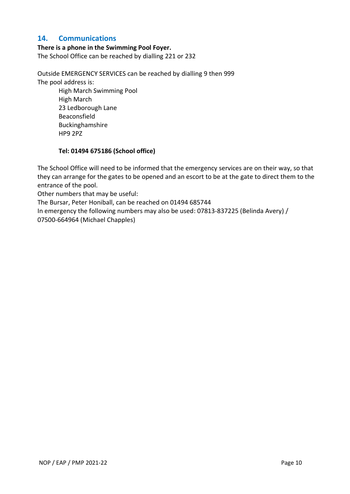## **14. Communications**

#### **There is a phone in the Swimming Pool Foyer.**

The School Office can be reached by dialling 221 or 232

Outside EMERGENCY SERVICES can be reached by dialling 9 then 999 The pool address is:

High March Swimming Pool High March 23 Ledborough Lane Beaconsfield Buckinghamshire HP9 2PZ

#### **Tel: 01494 675186 (School office)**

The School Office will need to be informed that the emergency services are on their way, so that they can arrange for the gates to be opened and an escort to be at the gate to direct them to the entrance of the pool.

Other numbers that may be useful:

The Bursar, Peter Honiball, can be reached on 01494 685744

In emergency the following numbers may also be used: 07813-837225 (Belinda Avery) / 07500-664964 (Michael Chapples)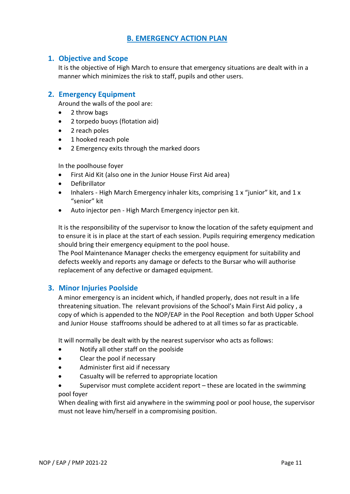# **B. EMERGENCY ACTION PLAN**

### **1. Objective and Scope**

It is the objective of High March to ensure that emergency situations are dealt with in a manner which minimizes the risk to staff, pupils and other users.

### **2. Emergency Equipment**

Around the walls of the pool are:

- 2 throw bags
- 2 torpedo buoys (flotation aid)
- 2 reach poles
- 1 hooked reach pole
- 2 Emergency exits through the marked doors

In the poolhouse foyer

- First Aid Kit (also one in the Junior House First Aid area)
- **Defibrillator**
- Inhalers High March Emergency inhaler kits, comprising 1 x "junior" kit, and 1 x "senior" kit
- Auto injector pen High March Emergency injector pen kit.

It is the responsibility of the supervisor to know the location of the safety equipment and to ensure it is in place at the start of each session. Pupils requiring emergency medication should bring their emergency equipment to the pool house.

The Pool Maintenance Manager checks the emergency equipment for suitability and defects weekly and reports any damage or defects to the Bursar who will authorise replacement of any defective or damaged equipment.

#### **3. Minor Injuries Poolside**

A minor emergency is an incident which, if handled properly, does not result in a life threatening situation. The relevant provisions of the School's Main First Aid policy , a copy of which is appended to the NOP/EAP in the Pool Reception and both Upper School and Junior House staffrooms should be adhered to at all times so far as practicable.

It will normally be dealt with by the nearest supervisor who acts as follows:

- Notify all other staff on the poolside
- Clear the pool if necessary
- Administer first aid if necessary
- Casualty will be referred to appropriate location
- Supervisor must complete accident report these are located in the swimming pool foyer

When dealing with first aid anywhere in the swimming pool or pool house, the supervisor must not leave him/herself in a compromising position.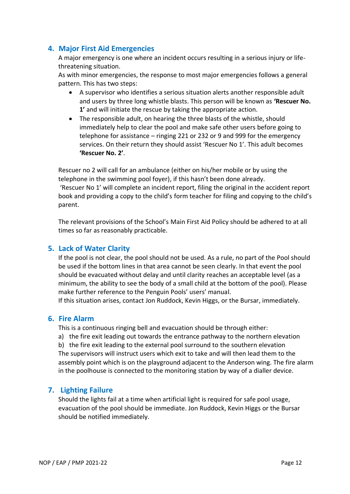## **4. Major First Aid Emergencies**

A major emergency is one where an incident occurs resulting in a serious injury or lifethreatening situation.

As with minor emergencies, the response to most major emergencies follows a general pattern. This has two steps:

- A supervisor who identifies a serious situation alerts another responsible adult and users by three long whistle blasts. This person will be known as **'Rescuer No. 1'** and will initiate the rescue by taking the appropriate action.
- The responsible adult, on hearing the three blasts of the whistle, should immediately help to clear the pool and make safe other users before going to telephone for assistance – ringing 221 or 232 or 9 and 999 for the emergency services. On their return they should assist 'Rescuer No 1'. This adult becomes **'Rescuer No. 2'**.

Rescuer no 2 will call for an ambulance (either on his/her mobile or by using the telephone in the swimming pool foyer), if this hasn't been done already. 'Rescuer No 1' will complete an incident report, filing the original in the accident report book and providing a copy to the child's form teacher for filing and copying to the child's parent.

The relevant provisions of the School's Main First Aid Policy should be adhered to at all times so far as reasonably practicable.

## **5. Lack of Water Clarity**

If the pool is not clear, the pool should not be used. As a rule, no part of the Pool should be used if the bottom lines in that area cannot be seen clearly. In that event the pool should be evacuated without delay and until clarity reaches an acceptable level (as a minimum, the ability to see the body of a small child at the bottom of the pool). Please make further reference to the Penguin Pools' users' manual.

If this situation arises, contact Jon Ruddock, Kevin Higgs, or the Bursar, immediately.

## **6. Fire Alarm**

This is a continuous ringing bell and evacuation should be through either:

a) the fire exit leading out towards the entrance pathway to the northern elevation

b) the fire exit leading to the external pool surround to the southern elevation The supervisors will instruct users which exit to take and will then lead them to the assembly point which is on the playground adjacent to the Anderson wing. The fire alarm in the poolhouse is connected to the monitoring station by way of a dialler device.

## **7. Lighting Failure**

Should the lights fail at a time when artificial light is required for safe pool usage, evacuation of the pool should be immediate. Jon Ruddock, Kevin Higgs or the Bursar should be notified immediately.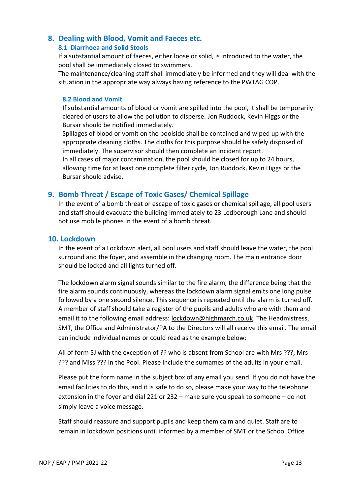## **8. Dealing with Blood, Vomit and Faeces etc.**

#### **8.1 Diarrhoea and Solid Stools**

If a substantial amount of faeces, either loose or solid, is introduced to the water, the pool shall be immediately closed to swimmers.

The maintenance/cleaning staff shall immediately be informed and they will deal with the situation in the appropriate way always having reference to the PWTAG COP.

#### **8.2 Blood and Vomit**

If substantial amounts of blood or vomit are spilled into the pool, it shall be temporarily cleared of users to allow the pollution to disperse. Jon Ruddock, Kevin Higgs or the Bursar should be notified immediately.

Spillages of blood or vomit on the poolside shall be contained and wiped up with the appropriate cleaning cloths. The cloths for this purpose should be safely disposed of immediately. The supervisor should then complete an incident report.

In all cases of major contamination, the pool should be closed for up to 24 hours, allowing time for at least one complete filter cycle, Jon Ruddock, Kevin Higgs or the Bursar should advise.

## **9. Bomb Threat / Escape of Toxic Gases/ Chemical Spillage**

In the event of a bomb threat or escape of toxic gases or chemical spillage, all pool users and staff should evacuate the building immediately to 23 Ledborough Lane and should not use mobile phones in the event of a bomb threat.

#### **10. Lockdown**

In the event of a Lockdown alert, all pool users and staff should leave the water, the pool surround and the foyer, and assemble in the changing room. The main entrance door should be locked and all lights turned off.

The lockdown alarm signal sounds similar to the fire alarm, the difference being that the fire alarm sounds continuously, whereas the lockdown alarm signal emits one long pulse followed by a one second silence. This sequence is repeated until the alarm is turned off. A member of staff should take a register of the pupils and adults who are with them and email it to the following email address: [lockdown@highmarch.co.uk.](mailto:lockdown@highmarch.co.uk) The Headmistress, SMT, the Office and Administrator/PA to the Directors will all receive this email. The email can include individual names or could read as the example below:

All of form 5J with the exception of ?? who is absent from School are with Mrs ???, Mrs ??? and Miss ??? in the Pool. Please include the surnames of the adults in your email.

Please put the form name in the subject box of any email you send. If you do not have the email facilities to do this, and it is safe to do so, please make your way to the telephone extension in the foyer and dial 221 or 232 – make sure you speak to someone – do not simply leave a voice message.

Staff should reassure and support pupils and keep them calm and quiet. Staff are to remain in lockdown positions until informed by a member of SMT or the School Office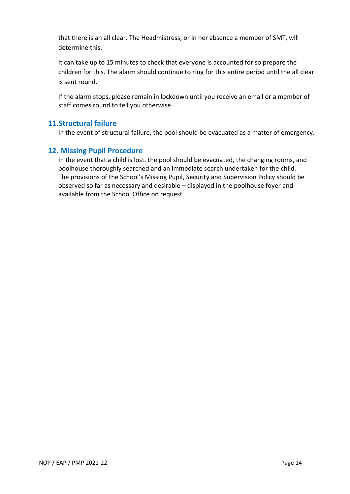that there is an all clear. The Headmistress, or in her absence a member of SMT, will determine this.

It can take up to 15 minutes to check that everyone is accounted for so prepare the children for this. The alarm should continue to ring for this entire period until the all clear is sent round.

If the alarm stops, please remain in lockdown until you receive an email or a member of staff comes round to tell you otherwise.

## **11.Structural failure**

In the event of structural failure, the pool should be evacuated as a matter of emergency.

## **12. Missing Pupil Procedure**

In the event that a child is lost, the pool should be evacuated, the changing rooms, and poolhouse thoroughly searched and an immediate search undertaken for the child. The provisions of the School's Missing Pupil, Security and Supervision Policy should be observed so far as necessary and desirable – displayed in the poolhouse foyer and available from the School Office on request.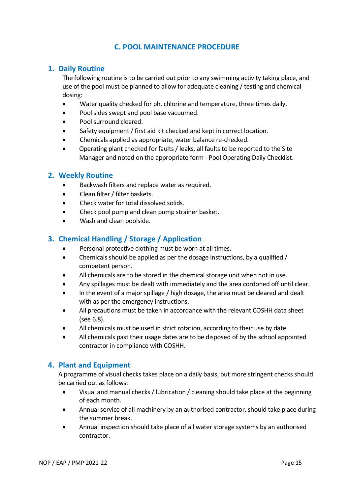## **C. POOL MAINTENANCE PROCEDURE**

### **1. Daily Routine**

The following routine is to be carried out prior to any swimming activity taking place, and use of the pool must be planned to allow for adequate cleaning / testing and chemical dosing:

- Water quality checked for ph, chlorine and temperature, three times daily.
- Pool sides swept and pool base vacuumed.
- Pool surround cleared.
- Safety equipment / first aid kit checked and kept in correct location.
- Chemicals applied as appropriate, water balance re-checked.
- Operating plant checked for faults / leaks, all faults to be reported to the Site Manager and noted on the appropriate form - Pool Operating Daily Checklist.

#### **2. Weekly Routine**

- Backwash filters and replace water as required.
- Clean filter / filter baskets.
- Check water for total dissolved solids.
- Check pool pump and clean pump strainer basket.
- Wash and clean poolside.

### **3. Chemical Handling / Storage / Application**

- Personal protective clothing must be worn at all times.
- Chemicals should be applied as per the dosage instructions, by a qualified / competent person.
- All chemicals are to be stored in the chemical storage unit when not in use.
- Any spillages must be dealt with immediately and the area cordoned off until clear.
- In the event of a major spillage / high dosage, the area must be cleared and dealt with as per the emergency instructions.
- All precautions must be taken in accordance with the relevant COSHH data sheet (see 6.8).
- All chemicals must be used in strict rotation, according to their use by date.
- All chemicals past their usage dates are to be disposed of by the school appointed contractor in compliance with COSHH.

## **4. Plant and Equipment**

A programme of visual checks takes place on a daily basis, but more stringent checks should be carried out as follows:

- Visual and manual checks / lubrication / cleaning should take place at the beginning of each month.
- Annual service of all machinery by an authorised contractor, should take place during the summer break.
- Annual inspection should take place of all water storage systems by an authorised contractor.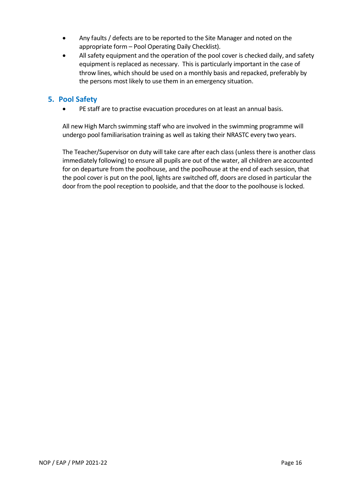- Any faults / defects are to be reported to the Site Manager and noted on the appropriate form – Pool Operating Daily Checklist).
- All safety equipment and the operation of the pool cover is checked daily, and safety equipment is replaced as necessary. This is particularly important in the case of throw lines, which should be used on a monthly basis and repacked, preferably by the persons most likely to use them in an emergency situation.

## **5. Pool Safety**

• PE staff are to practise evacuation procedures on at least an annual basis.

All new High March swimming staff who are involved in the swimming programme will undergo pool familiarisation training as well as taking their NRASTC every two years.

The Teacher/Supervisor on duty will take care after each class (unless there is another class immediately following) to ensure all pupils are out of the water, all children are accounted for on departure from the poolhouse, and the poolhouse at the end of each session, that the pool cover is put on the pool, lights are switched off, doors are closed in particular the door from the pool reception to poolside, and that the door to the poolhouse is locked.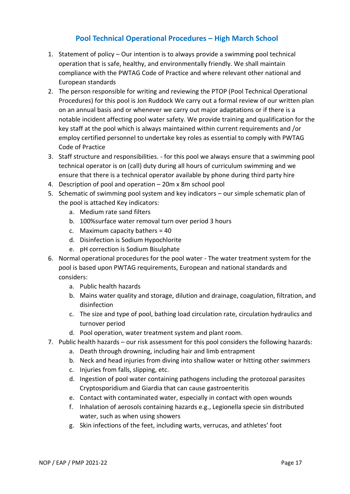# **Pool Technical Operational Procedures – High March School**

- 1. Statement of policy Our intention is to always provide a swimming pool technical operation that is safe, healthy, and environmentally friendly. We shall maintain compliance with the PWTAG Code of Practice and where relevant other national and European standards
- 2. The person responsible for writing and reviewing the PTOP (Pool Technical Operational Procedures) for this pool is Jon Ruddock We carry out a formal review of our written plan on an annual basis and or whenever we carry out major adaptations or if there is a notable incident affecting pool water safety. We provide training and qualification for the key staff at the pool which is always maintained within current requirements and /or employ certified personnel to undertake key roles as essential to comply with PWTAG Code of Practice
- 3. Staff structure and responsibilities. for this pool we always ensure that a swimming pool technical operator is on (call) duty during all hours of curriculum swimming and we ensure that there is a technical operator available by phone during third party hire
- 4. Description of pool and operation 20m x 8m school pool
- 5. Schematic of swimming pool system and key indicators our simple schematic plan of the pool is attached Key indicators:
	- a. Medium rate sand filters
	- b. 100%surface water removal turn over period 3 hours
	- c. Maximum capacity bathers = 40
	- d. Disinfection is Sodium Hypochlorite
	- e. pH correction is Sodium Bisulphate
- 6. Normal operational procedures for the pool water The water treatment system for the pool is based upon PWTAG requirements, European and national standards and considers:
	- a. Public health hazards
	- b. Mains water quality and storage, dilution and drainage, coagulation, filtration, and disinfection
	- c. The size and type of pool, bathing load circulation rate, circulation hydraulics and turnover period
	- d. Pool operation, water treatment system and plant room.
- 7. Public health hazards our risk assessment for this pool considers the following hazards:
	- a. Death through drowning, including hair and limb entrapment
	- b. Neck and head injuries from diving into shallow water or hitting other swimmers
	- c. Injuries from falls, slipping, etc.
	- d. Ingestion of pool water containing pathogens including the protozoal parasites Cryptosporidium and Giardia that can cause gastroenteritis
	- e. Contact with contaminated water, especially in contact with open wounds
	- f. Inhalation of aerosols containing hazards e.g., Legionella specie sin distributed water, such as when using showers
	- g. Skin infections of the feet, including warts, verrucas, and athletes' foot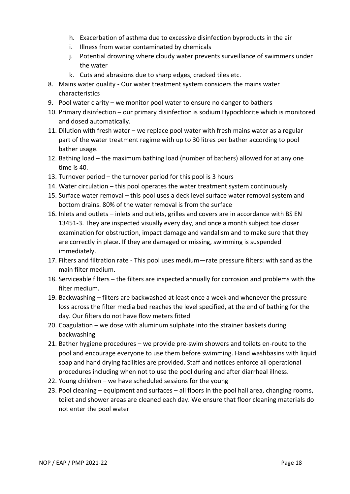- h. Exacerbation of asthma due to excessive disinfection byproducts in the air
- i. Illness from water contaminated by chemicals
- j. Potential drowning where cloudy water prevents surveillance of swimmers under the water
- k. Cuts and abrasions due to sharp edges, cracked tiles etc.
- 8. Mains water quality Our water treatment system considers the mains water characteristics
- 9. Pool water clarity we monitor pool water to ensure no danger to bathers
- 10. Primary disinfection our primary disinfection is sodium Hypochlorite which is monitored and dosed automatically.
- 11. Dilution with fresh water we replace pool water with fresh mains water as a regular part of the water treatment regime with up to 30 litres per bather according to pool bather usage.
- 12. Bathing load the maximum bathing load (number of bathers) allowed for at any one time is 40.
- 13. Turnover period the turnover period for this pool is 3 hours
- 14. Water circulation this pool operates the water treatment system continuously
- 15. Surface water removal this pool uses a deck level surface water removal system and bottom drains. 80% of the water removal is from the surface
- 16. Inlets and outlets inlets and outlets, grilles and covers are in accordance with BS EN 13451-3. They are inspected visually every day, and once a month subject toe closer examination for obstruction, impact damage and vandalism and to make sure that they are correctly in place. If they are damaged or missing, swimming is suspended immediately.
- 17. Filters and filtration rate This pool uses medium—rate pressure filters: with sand as the main filter medium.
- 18. Serviceable filters the filters are inspected annually for corrosion and problems with the filter medium.
- 19. Backwashing filters are backwashed at least once a week and whenever the pressure loss across the filter media bed reaches the level specified, at the end of bathing for the day. Our filters do not have flow meters fitted
- 20. Coagulation we dose with aluminum sulphate into the strainer baskets during backwashing
- 21. Bather hygiene procedures we provide pre-swim showers and toilets en-route to the pool and encourage everyone to use them before swimming. Hand washbasins with liquid soap and hand drying facilities are provided. Staff and notices enforce all operational procedures including when not to use the pool during and after diarrheal illness.
- 22. Young children we have scheduled sessions for the young
- 23. Pool cleaning equipment and surfaces all floors in the pool hall area, changing rooms, toilet and shower areas are cleaned each day. We ensure that floor cleaning materials do not enter the pool water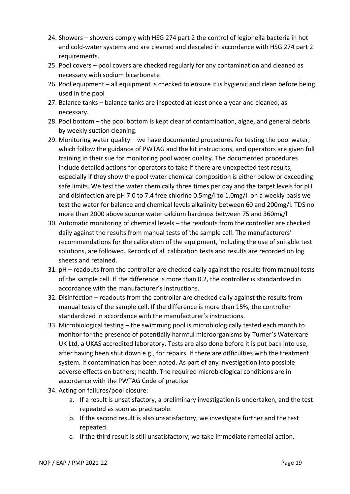- 24. Showers showers comply with HSG 274 part 2 the control of legionella bacteria in hot and cold-water systems and are cleaned and descaled in accordance with HSG 274 part 2 requirements.
- 25. Pool covers pool covers are checked regularly for any contamination and cleaned as necessary with sodium bicarbonate
- 26. Pool equipment all equipment is checked to ensure it is hygienic and clean before being used in the pool
- 27. Balance tanks balance tanks are inspected at least once a year and cleaned, as necessary.
- 28. Pool bottom the pool bottom is kept clear of contamination, algae, and general debris by weekly suction cleaning.
- 29. Monitoring water quality we have documented procedures for testing the pool water, which follow the guidance of PWTAG and the kit instructions, and operators are given full training in their sue for monitoring pool water quality. The documented procedures include detailed actions for operators to take if there are unexpected test results, especially if they show the pool water chemical composition is either below or exceeding safe limits. We test the water chemically three times per day and the target levels for pH and disinfection are pH 7.0 to 7.4 free chlorine 0.5mg/l to 1.0mg/l. on a weekly basis we test the water for balance and chemical levels alkalinity between 60 and 200mg/l. TDS no more than 2000 above source water calcium hardness between 75 and 360mg/l
- 30. Automatic monitoring of chemical levels the readouts from the controller are checked daily against the results from manual tests of the sample cell. The manufacturers' recommendations for the calibration of the equipment, including the use of suitable test solutions, are followed. Records of all calibration tests and results are recorded on log sheets and retained.
- 31. pH readouts from the controller are checked daily against the results from manual tests of the sample cell. If the difference is more than 0.2, the controller is standardized in accordance with the manufacturer's instructions.
- 32. Disinfection readouts from the controller are checked daily against the results from manual tests of the sample cell. If the difference is more than 15%, the controller standardized in accordance with the manufacturer's instructions.
- 33. Microbiological testing the swimming pool is microbiologically tested each month to monitor for the presence of potentially harmful microorganisms by Turner's Watercare UK Ltd, a UKAS accredited laboratory. Tests are also done before it is put back into use, after having been shut down e.g., for repairs. If there are difficulties with the treatment system. If contamination has been noted. As part of any investigation into possible adverse effects on bathers; health. The required microbiological conditions are in accordance with the PWTAG Code of practice
- 34. Acting on failures/pool closure:
	- a. If a result is unsatisfactory, a preliminary investigation is undertaken, and the test repeated as soon as practicable.
	- b. If the second result is also unsatisfactory, we investigate further and the test repeated.
	- c. If the third result is still unsatisfactory, we take immediate remedial action.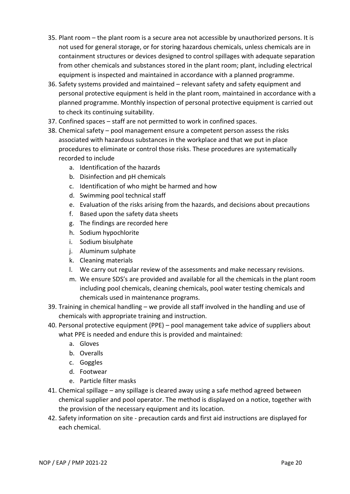- 35. Plant room the plant room is a secure area not accessible by unauthorized persons. It is not used for general storage, or for storing hazardous chemicals, unless chemicals are in containment structures or devices designed to control spillages with adequate separation from other chemicals and substances stored in the plant room; plant, including electrical equipment is inspected and maintained in accordance with a planned programme.
- 36. Safety systems provided and maintained relevant safety and safety equipment and personal protective equipment is held in the plant room, maintained in accordance with a planned programme. Monthly inspection of personal protective equipment is carried out to check its continuing suitability.
- 37. Confined spaces staff are not permitted to work in confined spaces.
- 38. Chemical safety pool management ensure a competent person assess the risks associated with hazardous substances in the workplace and that we put in place procedures to eliminate or control those risks. These procedures are systematically recorded to include
	- a. Identification of the hazards
	- b. Disinfection and pH chemicals
	- c. Identification of who might be harmed and how
	- d. Swimming pool technical staff
	- e. Evaluation of the risks arising from the hazards, and decisions about precautions
	- f. Based upon the safety data sheets
	- g. The findings are recorded here
	- h. Sodium hypochlorite
	- i. Sodium bisulphate
	- j. Aluminum sulphate
	- k. Cleaning materials
	- l. We carry out regular review of the assessments and make necessary revisions.
	- m. We ensure SDS's are provided and available for all the chemicals in the plant room including pool chemicals, cleaning chemicals, pool water testing chemicals and chemicals used in maintenance programs.
- 39. Training in chemical handling we provide all staff involved in the handling and use of chemicals with appropriate training and instruction.
- 40. Personal protective equipment (PPE) pool management take advice of suppliers about what PPE is needed and endure this is provided and maintained:
	- a. Gloves
	- b. Overalls
	- c. Goggles
	- d. Footwear
	- e. Particle filter masks
- 41. Chemical spillage any spillage is cleared away using a safe method agreed between chemical supplier and pool operator. The method is displayed on a notice, together with the provision of the necessary equipment and its location.
- 42. Safety information on site precaution cards and first aid instructions are displayed for each chemical.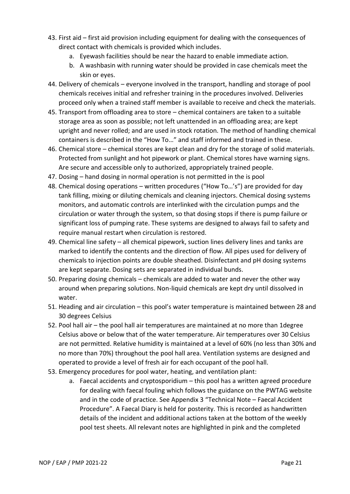- 43. First aid first aid provision including equipment for dealing with the consequences of direct contact with chemicals is provided which includes.
	- a. Eyewash facilities should be near the hazard to enable immediate action.
	- b. A washbasin with running water should be provided in case chemicals meet the skin or eyes.
- 44. Delivery of chemicals everyone involved in the transport, handling and storage of pool chemicals receives initial and refresher training in the procedures involved. Deliveries proceed only when a trained staff member is available to receive and check the materials.
- 45. Transport from offloading area to store chemical containers are taken to a suitable storage area as soon as possible; not left unattended in an offloading area; are kept upright and never rolled; and are used in stock rotation. The method of handling chemical containers is described in the "How To…" and staff informed and trained in these.
- 46. Chemical store chemical stores are kept clean and dry for the storage of solid materials. Protected from sunlight and hot pipework or plant. Chemical stores have warning signs. Are secure and accessible only to authorized, appropriately trained people.
- 47. Dosing hand dosing in normal operation is not permitted in the is pool
- 48. Chemical dosing operations written procedures ("How To…'s") are provided for day tank filling, mixing or diluting chemicals and cleaning injectors. Chemical dosing systems monitors, and automatic controls are interlinked with the circulation pumps and the circulation or water through the system, so that dosing stops if there is pump failure or significant loss of pumping rate. These systems are designed to always fail to safety and require manual restart when circulation is restored.
- 49. Chemical line safety all chemical pipework, suction lines delivery lines and tanks are marked to identify the contents and the direction of flow. All pipes used for delivery of chemicals to injection points are double sheathed. Disinfectant and pH dosing systems are kept separate. Dosing sets are separated in individual bunds.
- 50. Preparing dosing chemicals chemicals are added to water and never the other way around when preparing solutions. Non-liquid chemicals are kept dry until dissolved in water.
- 51. Heading and air circulation this pool's water temperature is maintained between 28 and 30 degrees Celsius
- 52. Pool hall air the pool hall air temperatures are maintained at no more than 1degree Celsius above or below that of the water temperature. Air temperatures over 30 Celsius are not permitted. Relative humidity is maintained at a level of 60% (no less than 30% and no more than 70%) throughout the pool hall area. Ventilation systems are designed and operated to provide a level of fresh air for each occupant of the pool hall.
- 53. Emergency procedures for pool water, heating, and ventilation plant:
	- a. Faecal accidents and cryptosporidium this pool has a written agreed procedure for dealing with faecal fouling which follows the guidance on the PWTAG website and in the code of practice. See Appendix 3 "Technical Note – Faecal Accident Procedure". A Faecal Diary is held for posterity. This is recorded as handwritten details of the incident and additional actions taken at the bottom of the weekly pool test sheets. All relevant notes are highlighted in pink and the completed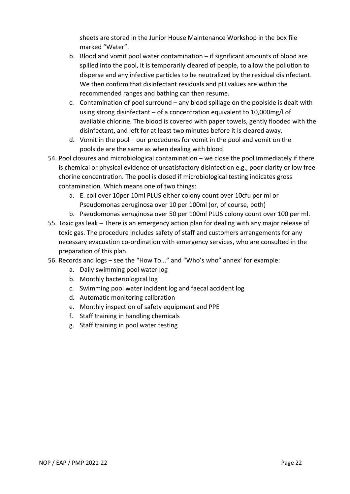sheets are stored in the Junior House Maintenance Workshop in the box file marked "Water".

- b. Blood and vomit pool water contamination if significant amounts of blood are spilled into the pool, it is temporarily cleared of people, to allow the pollution to disperse and any infective particles to be neutralized by the residual disinfectant. We then confirm that disinfectant residuals and pH values are within the recommended ranges and bathing can then resume.
- c. Contamination of pool surround any blood spillage on the poolside is dealt with using strong disinfectant – of a concentration equivalent to 10,000mg/l of available chlorine. The blood is covered with paper towels, gently flooded with the disinfectant, and left for at least two minutes before it is cleared away.
- d. Vomit in the pool our procedures for vomit in the pool and vomit on the poolside are the same as when dealing with blood.
- 54. Pool closures and microbiological contamination we close the pool immediately if there is chemical or physical evidence of unsatisfactory disinfection e.g., poor clarity or low free chorine concentration. The pool is closed if microbiological testing indicates gross contamination. Which means one of two things:
	- a. E. coli over 10per 10ml PLUS either colony count over 10cfu per ml or Pseudomonas aeruginosa over 10 per 100ml (or, of course, both)
	- b. Pseudomonas aeruginosa over 50 per 100ml PLUS colony count over 100 per ml.
- 55. Toxic gas leak There is an emergency action plan for dealing with any major release of toxic gas. The procedure includes safety of staff and customers arrangements for any necessary evacuation co-ordination with emergency services, who are consulted in the preparation of this plan.
- 56. Records and logs see the "How To..." and "Who's who" annex' for example:
	- a. Daily swimming pool water log
	- b. Monthly bacteriological log
	- c. Swimming pool water incident log and faecal accident log
	- d. Automatic monitoring calibration
	- e. Monthly inspection of safety equipment and PPE
	- f. Staff training in handling chemicals
	- g. Staff training in pool water testing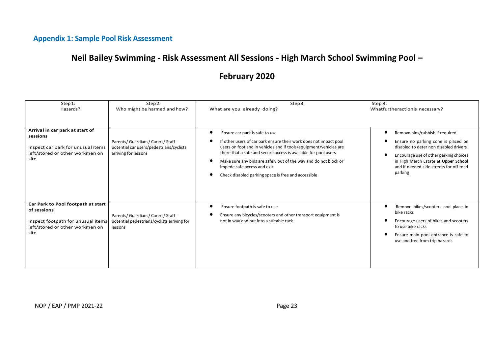# **Appendix 1: Sample Pool Risk Assessment**

# **Neil Bailey Swimming - Risk Assessment All Sessions - High March School Swimming Pool –**

# **February 2020**

| Step 1:<br>Hazards?                                                                                                                | Step 2:<br>Who might be harmed and how?                                                                 | Step3:<br>What are you already doing?                                                                                                                                                                                                                                                                                                                                                                                    | Step 4:<br>Whatfurtheractionis necessary?                                                                                                                                                                                                                |
|------------------------------------------------------------------------------------------------------------------------------------|---------------------------------------------------------------------------------------------------------|--------------------------------------------------------------------------------------------------------------------------------------------------------------------------------------------------------------------------------------------------------------------------------------------------------------------------------------------------------------------------------------------------------------------------|----------------------------------------------------------------------------------------------------------------------------------------------------------------------------------------------------------------------------------------------------------|
| Arrival in car park at start of<br>sessions<br>Inspect car park for unusual items<br>left/stored or other workmen on<br>site       | Parents/ Guardians/ Carers/ Staff -<br>potential car users/pedestrians/cyclists<br>arriving for lessons | Ensure car park is safe to use<br>c<br>If other users of car park ensure their work does not impact pool<br>users on foot and in vehicles and if tools/equipment/vehicles are<br>there that a safe and secure access is available for pool users<br>Make sure any bins are safely out of the way and do not block or<br>$\epsilon$<br>impede safe access and exit<br>Check disabled parking space is free and accessible | Remove bins/rubbish if required<br>Ensure no parking cone is placed on<br>disabled to deter non disabled drivers<br>Encourage use of other parking choices<br>in High March Estate at Upper School<br>and if needed side streets for off road<br>parking |
| Car Park to Pool footpath at start<br>of sessions<br>Inspect footpath for unusual items<br>left/stored or other workmen on<br>site | Parents/ Guardians/ Carers/ Staff -<br>potential pedestrians/cyclists arriving for<br>lessons           | Ensure footpath is safe to use<br>Ensure any bicycles/scooters and other transport equipment is<br>not in way and put into a suitable rack                                                                                                                                                                                                                                                                               | Remove bikes/scooters and place in<br>bike racks<br>Encourage users of bikes and scooters<br>to use bike racks<br>Ensure main pool entrance is safe to<br>use and free from trip hazards                                                                 |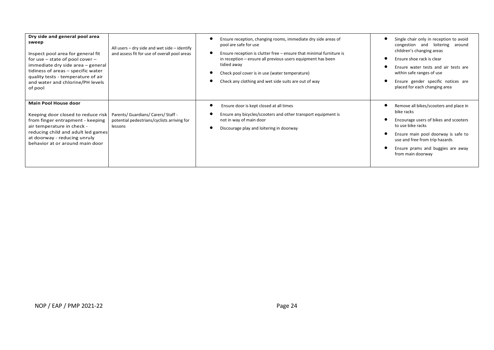| Dry side and general pool area<br>sweep<br>Inspect pool area for general fit<br>for use $-$ state of pool cover $-$<br>immediate dry side area - general<br>tidiness of areas - specific water<br>quality tests - temperature of air<br>and water and chlorine/PH levels<br>of pool | All users - dry side and wet side - identify<br>and assess fit for use of overall pool areas  | Ensure reception, changing rooms, immediate dry side areas of<br>pool are safe for use<br>$\bullet$<br>Ensure reception is clutter free – ensure that minimal furniture is<br>in reception – ensure all previous users equipment has been<br>tidied away<br>Check pool cover is in use (water temperature)<br>Check any clothing and wet side suits are out of way | Single chair only in reception to avoid<br>congestion and loitering around<br>children's changing areas<br>Ensure shoe rack is clear<br>Ensure water tests and air tests are<br>within safe ranges of use<br>Ensure gender specific notices are<br>placed for each changing area |
|-------------------------------------------------------------------------------------------------------------------------------------------------------------------------------------------------------------------------------------------------------------------------------------|-----------------------------------------------------------------------------------------------|--------------------------------------------------------------------------------------------------------------------------------------------------------------------------------------------------------------------------------------------------------------------------------------------------------------------------------------------------------------------|----------------------------------------------------------------------------------------------------------------------------------------------------------------------------------------------------------------------------------------------------------------------------------|
| <b>Main Pool House door</b><br>Keeping door closed to reduce risk<br>from finger entrapment - keeping<br>air temperature in check -<br>reducing child and adult led games<br>at doorway - reducing unruly<br>behavior at or around main door                                        | Parents/ Guardians/ Carers/ Staff -<br>potential pedestrians/cyclists arriving for<br>lessons | Ensure door is kept closed at all times<br>Ensure any bicycles/scooters and other transport equipment is<br>not in way of main door<br>Discourage play and loitering in doorway                                                                                                                                                                                    | Remove all bikes/scooters and place in<br>bike racks<br>Encourage users of bikes and scooters<br>to use bike racks<br>Ensure main pool doorway is safe to<br>use and free from trip hazards<br>Ensure prams and buggies are away<br>from main doorway                            |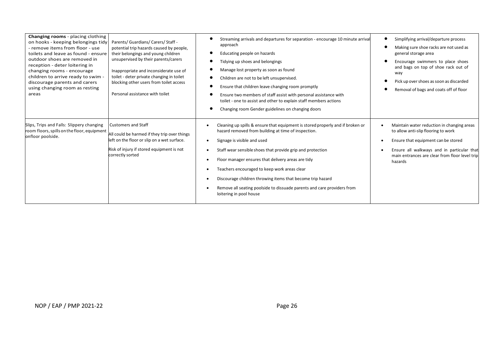| <b>Changing rooms</b> - placing clothing<br>on hooks - keeping belongings tidy<br>- remove items from floor - use<br>toilets and leave as found - ensure<br>outdoor shoes are removed in<br>reception - deter loitering in<br>changing rooms - encourage<br>children to arrive ready to swim -<br>discourage parents and carers<br>using changing room as resting<br>areas | Parents/ Guardians/ Carers/ Staff -<br>potential trip hazards caused by people,<br>their belongings and young children<br>unsupervised by their parents/carers<br>Inappropriate and inconsiderate use of<br>toilet - deter private changing in toilet<br>blocking other users from toilet access<br>Personal assistance with toilet | Streaming arrivals and departures for separation - encourage 10 minute arrival<br>approach<br>Educating people on hazards<br>×<br>Tidying up shoes and belongings<br>Manage lost property as soon as found<br>Children are not to be left unsupervised.<br>Ensure that children leave changing room promptly<br>Ensure two members of staff assist with personal assistance with<br>toilet - one to assist and other to explain staff members actions<br>Changing room Gender guidelines on changing doors   | Simplifying arrival/departure process<br>Making sure shoe racks are not used as<br>general storage area<br>Encourage swimmers to place shoes<br>and bags on top of shoe rack out of<br>way<br>Pick up over shoes as soon as discarded<br>Removal of bags and coats off of floor |
|----------------------------------------------------------------------------------------------------------------------------------------------------------------------------------------------------------------------------------------------------------------------------------------------------------------------------------------------------------------------------|-------------------------------------------------------------------------------------------------------------------------------------------------------------------------------------------------------------------------------------------------------------------------------------------------------------------------------------|--------------------------------------------------------------------------------------------------------------------------------------------------------------------------------------------------------------------------------------------------------------------------------------------------------------------------------------------------------------------------------------------------------------------------------------------------------------------------------------------------------------|---------------------------------------------------------------------------------------------------------------------------------------------------------------------------------------------------------------------------------------------------------------------------------|
| Slips, Trips and Falls: Slippery changing<br>room floors, spills on the floor, equipment<br>onfloor poolside.                                                                                                                                                                                                                                                              | <b>Customers and Staff</b><br>All could be harmed if they trip over things<br>left on the floor or slip on a wet surface.<br>Risk of injury if stored equipment is not<br>correctly sorted                                                                                                                                          | Cleaning up spills & ensure that equipment is stored properly and if broken or<br>hazard removed from building at time of inspection.<br>Signage is visible and used<br>Staff wear sensible shoes that provide grip and protection<br>Floor manager ensures that delivery areas are tidy<br>Teachers encouraged to keep work areas clear<br>Discourage children throwing items that become trip hazard<br>Remove all seating poolside to dissuade parents and care providers from<br>loitering in pool house | Maintain water reduction in changing areas<br>to allow anti-slip flooring to work<br>Ensure that equipment can be stored<br>٠<br>Ensure all walkways and in particular that<br>$\bullet$<br>main entrances are clear from floor level trip<br>hazards                           |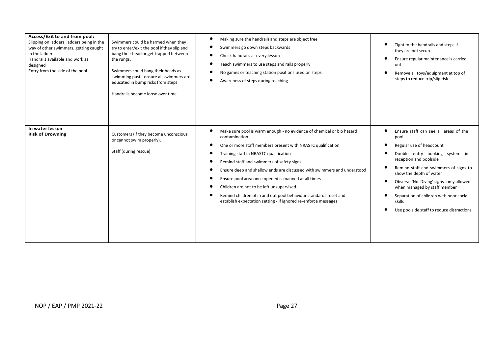| Access/Exit to and from pool:<br>Slipping on ladders, ladders being in the<br>way of other swimmers, getting caught<br>in the ladder.<br>Handrails available and work as<br>designed<br>Entry from the side of the pool<br>In water lesson | Swimmers could be harmed when they<br>try to enter/exit the pool if they slip and<br>bang their head or get trapped between<br>the rungs.<br>Swimmers could bang their heads as<br>swimming past - ensure all swimmers are<br>educated in bump risks from steps<br>Handrails become loose over time | Making sure the handrails and steps are object free<br>$\bullet$<br>Swimmers go down steps backwards<br>$\bullet$<br>Check handrails at every lesson<br>$\bullet$<br>Teach swimmers to use steps and rails properly<br>No games or teaching station positions used on steps<br>$\bullet$<br>$\bullet$<br>Awareness of steps during teaching<br>Make sure pool is warm enough - no evidence of chemical or bio hazard<br>$\bullet$                                                                                  | Tighten the handrails and steps if<br>they are not secure<br>Ensure regular maintenance is carried<br>out.<br>Remove all toys/equipment at top of<br>steps to reduce trip/slip risk<br>Ensure staff can see all areas of the                                                                                                                   |
|--------------------------------------------------------------------------------------------------------------------------------------------------------------------------------------------------------------------------------------------|-----------------------------------------------------------------------------------------------------------------------------------------------------------------------------------------------------------------------------------------------------------------------------------------------------|--------------------------------------------------------------------------------------------------------------------------------------------------------------------------------------------------------------------------------------------------------------------------------------------------------------------------------------------------------------------------------------------------------------------------------------------------------------------------------------------------------------------|------------------------------------------------------------------------------------------------------------------------------------------------------------------------------------------------------------------------------------------------------------------------------------------------------------------------------------------------|
| <b>Risk of Drowning</b>                                                                                                                                                                                                                    | Customers (if they become unconscious<br>or cannot swim properly).<br>Staff (during rescue)                                                                                                                                                                                                         | contamination<br>One or more staff members present with NRASTC qualification<br>$\bullet$<br>Training staff in NRASTC qualification<br>$\bullet$<br>Remind staff and swimmers of safety signs<br>Ensure deep and shallow ends are discussed with swimmers and understood<br>Ensure pool area once opened is manned at all times<br>Children are not to be left unsupervised.<br>Remind children of in and out pool behaviour standards reset and<br>establish expectation setting - if ignored re-enforce messages | pool.<br>Regular use of headcount<br>Double entry booking system in<br>reception and poolside<br>Remind staff and swimmers of signs to<br>show the depth of water<br>Observe 'No Diving' signs -only allowed<br>when managed by staff member<br>Separation of children with poor social<br>skills<br>Use poolside staff to reduce distractions |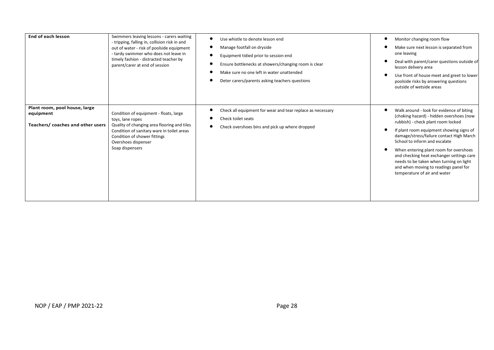| End of each lesson                                                             | Swimmers leaving lessons - carers waiting<br>- tripping, falling in, collision risk in and<br>out of water - risk of poolside equipment<br>- tardy swimmer who does not leave in<br>timely fashion - distracted teacher by<br>parent/carer at end of session | Use whistle to denote lesson end<br>Manage footfall on dryside<br>Equipment tidied prior to session end<br>Ensure bottlenecks at showers/changing room is clear<br>Make sure no one left in water unattended<br>Deter carers/parents asking teachers questions | Monitor changing room flow<br>Make sure next lesson is separated from<br>one leaving<br>Deal with parent/carer questions outside of<br>lesson delivery area<br>Use front of house meet and greet to lower<br>poolside risks by answering questions<br>outside of wetside areas                                                                                                                                                                                  |
|--------------------------------------------------------------------------------|--------------------------------------------------------------------------------------------------------------------------------------------------------------------------------------------------------------------------------------------------------------|----------------------------------------------------------------------------------------------------------------------------------------------------------------------------------------------------------------------------------------------------------------|-----------------------------------------------------------------------------------------------------------------------------------------------------------------------------------------------------------------------------------------------------------------------------------------------------------------------------------------------------------------------------------------------------------------------------------------------------------------|
| Plant room, pool house, large<br>equipment<br>Teachers/coaches and other users | Condition of equipment - floats, large<br>toys, lane ropes<br>Quality of changing area flooring and tiles<br>Condition of sanitary ware in toilet areas<br>Condition of shower fittings<br>Overshoes dispenser<br>Soap dispensers                            | Check all equipment for wear and tear replace as necessary<br>Check toilet seats<br>Check overshoes bins and pick up where dropped                                                                                                                             | Walk around - look for evidence of biting<br>(choking hazard) - hidden overshoes (now<br>rubbish) - check plant room locked<br>If plant room equipment showing signs of<br>damage/stress/failure contact High March<br>School to inform and escalate<br>When entering plant room for overshoes<br>and checking heat exchanger settings care<br>needs to be taken when turning on light<br>and when moving to readings panel for<br>temperature of air and water |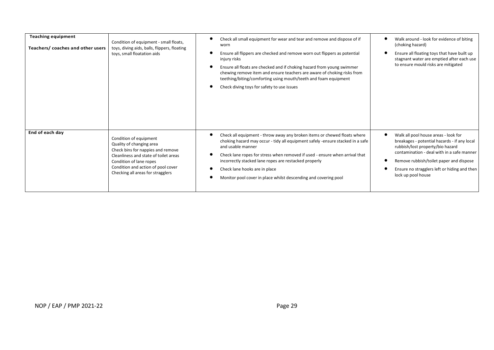| <b>Teaching equipment</b><br>Teachers/coaches and other users | Condition of equipment - small floats,<br>toys, diving aids, balls, flippers, floating<br>toys, small floatation aids                                                                                                                  | Check all small equipment for wear and tear and remove and dispose of if<br>c<br>worn<br>Ensure all flippers are checked and remove worn out flippers as potential<br>injury risks<br>c<br>Ensure all floats are checked and if choking hazard from young swimmer<br>chewing remove item and ensure teachers are aware of choking risks from<br>teething/biting/comforting using mouth/teeth and foam equipment<br>Check diving toys for safety to use issues | Walk around - look for evidence of biting<br>(choking hazard)<br>Ensure all floating toys that have built up<br>stagnant water are emptied after each use<br>to ensure mould risks are mitigated                                                                                        |
|---------------------------------------------------------------|----------------------------------------------------------------------------------------------------------------------------------------------------------------------------------------------------------------------------------------|---------------------------------------------------------------------------------------------------------------------------------------------------------------------------------------------------------------------------------------------------------------------------------------------------------------------------------------------------------------------------------------------------------------------------------------------------------------|-----------------------------------------------------------------------------------------------------------------------------------------------------------------------------------------------------------------------------------------------------------------------------------------|
| End of each day                                               | Condition of equipment<br>Quality of changing area<br>Check bins for nappies and remove<br>Cleanliness and state of toilet areas<br>Condition of lane ropes<br>Condition and action of pool cover<br>Checking all areas for stragglers | Check all equipment - throw away any broken items or chewed floats where<br>c<br>choking hazard may occur - tidy all equipment safely -ensure stacked in a safe<br>and usable manner<br>Check lane ropes for stress when removed if used - ensure when arrival that<br>incorrectly stacked lane ropes are restacked properly<br>Check lane hooks are in place<br>Monitor pool cover in place whilst descending and covering pool                              | Walk all pool house areas - look for<br>breakages - potential hazards - if any local<br>rubbish/lost property/bio hazard<br>contamination - deal with in a safe manner<br>Remove rubbish/toilet paper and dispose<br>Ensure no stragglers left or hiding and then<br>lock up pool house |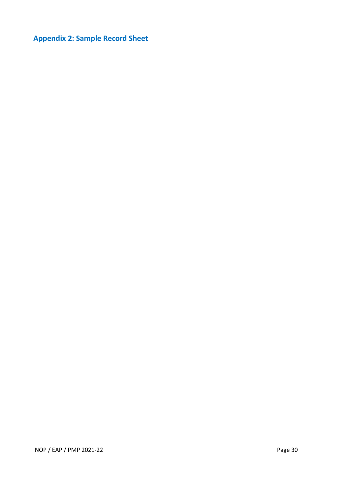# **Appendix 2: Sample Record Sheet**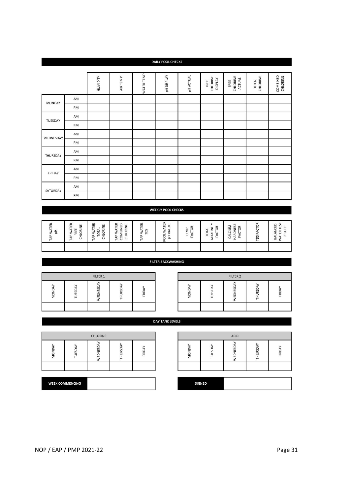| $\breve{\Sigma}$ |                        | ш | u. | $\breve{\Sigma}$ |  |
|------------------|------------------------|---|----|------------------|--|
|                  | <b>WEEK COMMENCING</b> |   |    | <b>SIGNED</b>    |  |
|                  |                        |   |    |                  |  |
|                  |                        |   |    |                  |  |

|        |          |                 |        |                | <b>DAY TANK LEVELS</b> |       |       |               |     |        |
|--------|----------|-----------------|--------|----------------|------------------------|-------|-------|---------------|-----|--------|
|        |          |                 |        |                |                        |       |       |               |     |        |
|        |          | <b>CHLORINE</b> |        |                |                        |       |       | ACID          |     |        |
| MONDAY | ≏<br>JES | EDNESD          | HURSD. | ≻<br>٠<br>FRID |                        | MONDA | TUESD | <b>EDNESD</b> | င္က | FRIDAY |
|        |          |                 |        |                |                        |       |       |               |     |        |
|        |          |                 |        |                |                        |       |       |               |     |        |
|        |          |                 |        |                |                        |       |       |               |     |        |

|       |      | FILTER 1 |              |             |
|-------|------|----------|--------------|-------------|
| MOND/ | JESI | £        | <b>HURSD</b> | <b>FRID</b> |
|       |      |          |              |             |

|               |             | FILTER 2 |        |
|---------------|-------------|----------|--------|
| <b>MONDAY</b> | <b>JESD</b> | EDNESDA  | FRIDAY |
|               |             |          |        |

| WEEKLY POOL CHECKS                        |                                       |                                |                                       |                  |                                               |                    |                                              |                                      |                |                                         |
|-------------------------------------------|---------------------------------------|--------------------------------|---------------------------------------|------------------|-----------------------------------------------|--------------------|----------------------------------------------|--------------------------------------|----------------|-----------------------------------------|
|                                           |                                       |                                |                                       |                  |                                               |                    |                                              |                                      |                |                                         |
| <b>WATER</b><br>$\frac{1}{\Delta}$<br>TAP | WATER<br>CHLORINE<br>FREE<br>ĄÞ.<br>⊢ | TAP WATER<br>CHLORINE<br>TOTAL | AP WATER<br>COMBINED<br>CHLORINE<br>⊢ | TAP WATER<br>TDS | WATER<br><b>ALUE</b><br>$\geq$<br><b>POOL</b> | 6Ř<br>TEMP<br>FACT | TOR<br>ALKALINIT<br>$\vec{a}$<br>ГOТ<br>FACT | <b>HARDNESS</b><br>CALCIUM<br>FACTOR | TOR<br>TDS FAC | TEST<br>ANCED<br>RESULT<br>WATER<br>BAL |
|                                           |                                       |                                |                                       |                  |                                               |                    |                                              |                                      |                |                                         |

**FILTER BACKWASHING** 

| TUESDAY                   | AM |  |  |  |  |  |  |  |  |
|---------------------------|----|--|--|--|--|--|--|--|--|
|                           | PM |  |  |  |  |  |  |  |  |
| WEDNESDAY                 | AM |  |  |  |  |  |  |  |  |
|                           | PM |  |  |  |  |  |  |  |  |
| THURSDAY                  | AM |  |  |  |  |  |  |  |  |
|                           | PM |  |  |  |  |  |  |  |  |
| FRIDAY                    | AM |  |  |  |  |  |  |  |  |
|                           | PM |  |  |  |  |  |  |  |  |
| SATURDAY                  | AM |  |  |  |  |  |  |  |  |
|                           | PM |  |  |  |  |  |  |  |  |
|                           |    |  |  |  |  |  |  |  |  |
| <b>WEEKLY POOL CHECKS</b> |    |  |  |  |  |  |  |  |  |

| <b>DAILY POOL CHECKS</b> |                |             |  |  |  |  |  |
|--------------------------|----------------|-------------|--|--|--|--|--|
| VATER TEMP               | <b>DISPLAY</b> | <b>TUAL</b> |  |  |  |  |  |

AIR TEMP

HUMIDITY

AM

PM

MONDAY

FREE<br>CHLORINE<br>DISPLAY

FREE<br>CHLORINE<br>ACTUAL

COMBINED<br>CHLORINE

TOTAL<br>CHLORINE

1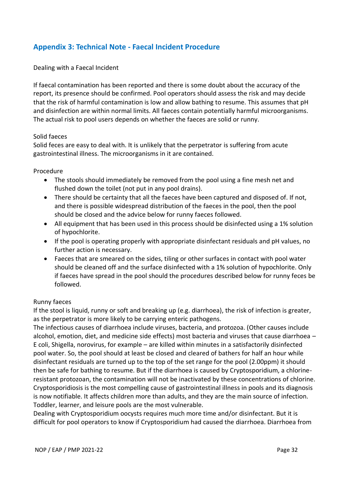## **Appendix 3: Technical Note - Faecal Incident Procedure**

#### Dealing with a Faecal Incident

If faecal contamination has been reported and there is some doubt about the accuracy of the report, its presence should be confirmed. Pool operators should assess the risk and may decide that the risk of harmful contamination is low and allow bathing to resume. This assumes that pH and disinfection are within normal limits. All faeces contain potentially harmful microorganisms. The actual risk to pool users depends on whether the faeces are solid or runny.

#### Solid faeces

Solid feces are easy to deal with. It is unlikely that the perpetrator is suffering from acute gastrointestinal illness. The microorganisms in it are contained.

#### Procedure

- The stools should immediately be removed from the pool using a fine mesh net and flushed down the toilet (not put in any pool drains).
- There should be certainty that all the faeces have been captured and disposed of. If not, and there is possible widespread distribution of the faeces in the pool, then the pool should be closed and the advice below for runny faeces followed.
- All equipment that has been used in this process should be disinfected using a 1% solution of hypochlorite.
- If the pool is operating properly with appropriate disinfectant residuals and pH values, no further action is necessary.
- Faeces that are smeared on the sides, tiling or other surfaces in contact with pool water should be cleaned off and the surface disinfected with a 1% solution of hypochlorite. Only if faeces have spread in the pool should the procedures described below for runny feces be followed.

#### Runny faeces

If the stool is liquid, runny or soft and breaking up (e.g. diarrhoea), the risk of infection is greater, as the perpetrator is more likely to be carrying enteric pathogens.

The infectious causes of diarrhoea include viruses, bacteria, and protozoa. (Other causes include alcohol, emotion, diet, and medicine side effects) most bacteria and viruses that cause diarrhoea – E coli, Shigella, norovirus, for example – are killed within minutes in a satisfactorily disinfected pool water. So, the pool should at least be closed and cleared of bathers for half an hour while disinfectant residuals are turned up to the top of the set range for the pool (2.00ppm) it should then be safe for bathing to resume. But if the diarrhoea is caused by Cryptosporidium, a chlorineresistant protozoan, the contamination will not be inactivated by these concentrations of chlorine. Cryptosporidiosis is the most compelling cause of gastrointestinal illness in pools and its diagnosis is now notifiable. It affects children more than adults, and they are the main source of infection. Toddler, learner, and leisure pools are the most vulnerable.

Dealing with Cryptosporidium oocysts requires much more time and/or disinfectant. But it is difficult for pool operators to know if Cryptosporidium had caused the diarrhoea. Diarrhoea from